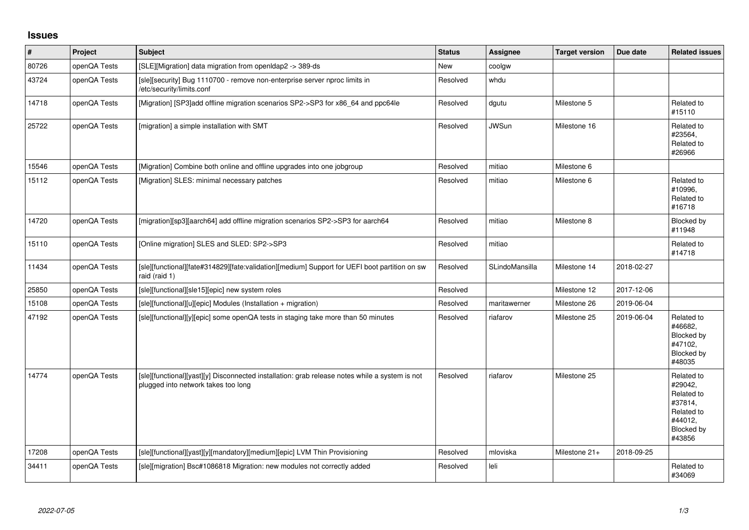## **Issues**

| $\vert$ # | Project      | <b>Subject</b>                                                                                                                        | <b>Status</b> | <b>Assignee</b>       | <b>Target version</b> | Due date   | <b>Related issues</b>                                                                           |
|-----------|--------------|---------------------------------------------------------------------------------------------------------------------------------------|---------------|-----------------------|-----------------------|------------|-------------------------------------------------------------------------------------------------|
| 80726     | openQA Tests | [SLE][Migration] data migration from openIdap2 -> 389-ds                                                                              | New           | coolgw                |                       |            |                                                                                                 |
| 43724     | openQA Tests | [sle][security] Bug 1110700 - remove non-enterprise server nproc limits in<br>/etc/security/limits.conf                               | Resolved      | whdu                  |                       |            |                                                                                                 |
| 14718     | openQA Tests | [Migration] [SP3]add offline migration scenarios SP2->SP3 for x86_64 and ppc64le                                                      | Resolved      | dgutu                 | Milestone 5           |            | Related to<br>#15110                                                                            |
| 25722     | openQA Tests | [migration] a simple installation with SMT                                                                                            | Resolved      | <b>JWSun</b>          | Milestone 16          |            | Related to<br>#23564,<br>Related to<br>#26966                                                   |
| 15546     | openQA Tests | [Migration] Combine both online and offline upgrades into one jobgroup                                                                | Resolved      | mitiao                | Milestone 6           |            |                                                                                                 |
| 15112     | openQA Tests | [Migration] SLES: minimal necessary patches                                                                                           | Resolved      | mitiao                | Milestone 6           |            | Related to<br>#10996,<br>Related to<br>#16718                                                   |
| 14720     | openQA Tests | [migration][sp3][aarch64] add offline migration scenarios SP2->SP3 for aarch64                                                        | Resolved      | mitiao                | Milestone 8           |            | <b>Blocked by</b><br>#11948                                                                     |
| 15110     | openQA Tests | [Online migration] SLES and SLED: SP2->SP3                                                                                            | Resolved      | mitiao                |                       |            | Related to<br>#14718                                                                            |
| 11434     | openQA Tests | [sle][functional][fate#314829][fate:validation][medium] Support for UEFI boot partition on sw<br>raid (raid 1)                        | Resolved      | <b>SLindoMansilla</b> | Milestone 14          | 2018-02-27 |                                                                                                 |
| 25850     | openQA Tests | [sle][functional][sle15][epic] new system roles                                                                                       | Resolved      |                       | Milestone 12          | 2017-12-06 |                                                                                                 |
| 15108     | openQA Tests | [sle][functional][u][epic] Modules (Installation + migration)                                                                         | Resolved      | maritawerner          | Milestone 26          | 2019-06-04 |                                                                                                 |
| 47192     | openQA Tests | [sle][functional][y][epic] some openQA tests in staging take more than 50 minutes                                                     | Resolved      | riafarov              | Milestone 25          | 2019-06-04 | Related to<br>#46682,<br>Blocked by<br>#47102,<br>Blocked by<br>#48035                          |
| 14774     | openQA Tests | [sle][functional][yast][y] Disconnected installation: grab release notes while a system is not<br>plugged into network takes too long | Resolved      | riafarov              | Milestone 25          |            | Related to<br>#29042,<br>Related to<br>#37814,<br>Related to<br>#44012.<br>Blocked by<br>#43856 |
| 17208     | openQA Tests | [sle][functional][yast][y][mandatory][medium][epic] LVM Thin Provisioning                                                             | Resolved      | mloviska              | Milestone 21+         | 2018-09-25 |                                                                                                 |
| 34411     | openQA Tests | [sle][migration] Bsc#1086818 Migration: new modules not correctly added                                                               | Resolved      | leli                  |                       |            | Related to<br>#34069                                                                            |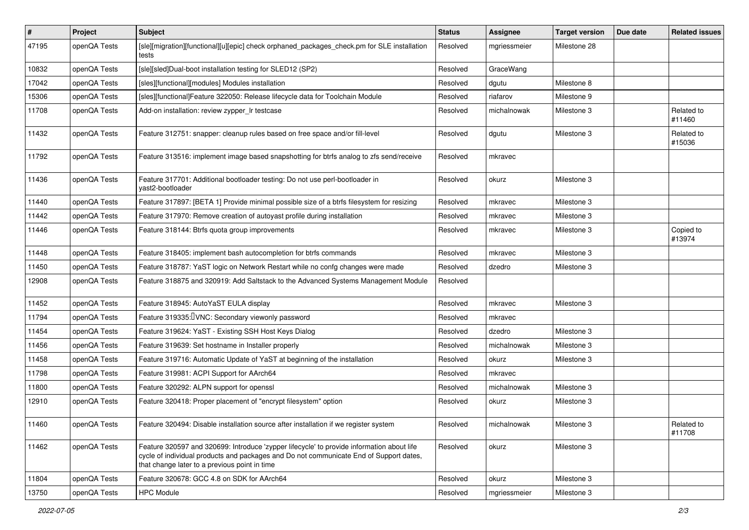| $\pmb{\#}$ | Project      | Subject                                                                                                                                                                                                                              | <b>Status</b> | Assignee     | <b>Target version</b> | Due date | <b>Related issues</b> |
|------------|--------------|--------------------------------------------------------------------------------------------------------------------------------------------------------------------------------------------------------------------------------------|---------------|--------------|-----------------------|----------|-----------------------|
| 47195      | openQA Tests | [sle][migration][functional][u][epic] check orphaned_packages_check.pm for SLE installation<br>tests                                                                                                                                 | Resolved      | mgriessmeier | Milestone 28          |          |                       |
| 10832      | openQA Tests | [sle][sled]Dual-boot installation testing for SLED12 (SP2)                                                                                                                                                                           | Resolved      | GraceWang    |                       |          |                       |
| 17042      | openQA Tests | [sles][functional][modules] Modules installation                                                                                                                                                                                     | Resolved      | dgutu        | Milestone 8           |          |                       |
| 15306      | openQA Tests | [sles][functional]Feature 322050: Release lifecycle data for Toolchain Module                                                                                                                                                        | Resolved      | riafarov     | Milestone 9           |          |                       |
| 11708      | openQA Tests | Add-on installation: review zypper_Ir testcase                                                                                                                                                                                       | Resolved      | michalnowak  | Milestone 3           |          | Related to<br>#11460  |
| 11432      | openQA Tests | Feature 312751: snapper: cleanup rules based on free space and/or fill-level                                                                                                                                                         | Resolved      | dgutu        | Milestone 3           |          | Related to<br>#15036  |
| 11792      | openQA Tests | Feature 313516: implement image based snapshotting for btrfs analog to zfs send/receive                                                                                                                                              | Resolved      | mkravec      |                       |          |                       |
| 11436      | openQA Tests | Feature 317701: Additional bootloader testing: Do not use perl-bootloader in<br>yast2-bootloader                                                                                                                                     | Resolved      | okurz        | Milestone 3           |          |                       |
| 11440      | openQA Tests | Feature 317897: [BETA 1] Provide minimal possible size of a btrfs filesystem for resizing                                                                                                                                            | Resolved      | mkravec      | Milestone 3           |          |                       |
| 11442      | openQA Tests | Feature 317970: Remove creation of autoyast profile during installation                                                                                                                                                              | Resolved      | mkravec      | Milestone 3           |          |                       |
| 11446      | openQA Tests | Feature 318144: Btrfs quota group improvements                                                                                                                                                                                       | Resolved      | mkravec      | Milestone 3           |          | Copied to<br>#13974   |
| 11448      | openQA Tests | Feature 318405: implement bash autocompletion for btrfs commands                                                                                                                                                                     | Resolved      | mkravec      | Milestone 3           |          |                       |
| 11450      | openQA Tests | Feature 318787: YaST logic on Network Restart while no confg changes were made                                                                                                                                                       | Resolved      | dzedro       | Milestone 3           |          |                       |
| 12908      | openQA Tests | Feature 318875 and 320919: Add Saltstack to the Advanced Systems Management Module                                                                                                                                                   | Resolved      |              |                       |          |                       |
| 11452      | openQA Tests | Feature 318945: AutoYaST EULA display                                                                                                                                                                                                | Resolved      | mkravec      | Milestone 3           |          |                       |
| 11794      | openQA Tests | Feature 319335: UNC: Secondary viewonly password                                                                                                                                                                                     | Resolved      | mkravec      |                       |          |                       |
| 11454      | openQA Tests | Feature 319624: YaST - Existing SSH Host Keys Dialog                                                                                                                                                                                 | Resolved      | dzedro       | Milestone 3           |          |                       |
| 11456      | openQA Tests | Feature 319639: Set hostname in Installer properly                                                                                                                                                                                   | Resolved      | michalnowak  | Milestone 3           |          |                       |
| 11458      | openQA Tests | Feature 319716: Automatic Update of YaST at beginning of the installation                                                                                                                                                            | Resolved      | okurz        | Milestone 3           |          |                       |
| 11798      | openQA Tests | Feature 319981: ACPI Support for AArch64                                                                                                                                                                                             | Resolved      | mkravec      |                       |          |                       |
| 11800      | openQA Tests | Feature 320292: ALPN support for openssl                                                                                                                                                                                             | Resolved      | michalnowak  | Milestone 3           |          |                       |
| 12910      | openQA Tests | Feature 320418: Proper placement of "encrypt filesystem" option                                                                                                                                                                      | Resolved      | okurz        | Milestone 3           |          |                       |
| 11460      | openQA Tests | Feature 320494: Disable installation source after installation if we register system                                                                                                                                                 | Resolved      | michalnowak  | Milestone 3           |          | Related to<br>#11708  |
| 11462      | openQA Tests | Feature 320597 and 320699: Introduce 'zypper lifecycle' to provide information about life<br>cycle of individual products and packages and Do not communicate End of Support dates,<br>that change later to a previous point in time | Resolved      | okurz        | Milestone 3           |          |                       |
| 11804      | openQA Tests | Feature 320678: GCC 4.8 on SDK for AArch64                                                                                                                                                                                           | Resolved      | okurz        | Milestone 3           |          |                       |
| 13750      | openQA Tests | <b>HPC Module</b>                                                                                                                                                                                                                    | Resolved      | mgriessmeier | Milestone 3           |          |                       |